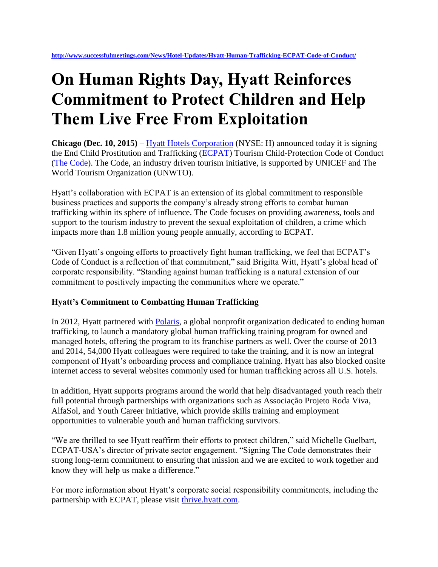# **On Human Rights Day, Hyatt Reinforces Commitment to Protect Children and Help Them Live Free From Exploitation**

**Chicago (Dec. 10, 2015)** – [Hyatt Hotels Corporation](http://www.hyatt.com/) (NYSE: H) announced today it is signing the End Child Prostitution and Trafficking [\(ECPAT\)](http://www.ecpatusa.org/) Tourism Child-Protection Code of Conduct [\(The Code\)](http://www.thecode.org/). The Code, an industry driven tourism initiative, is supported by UNICEF and The World Tourism Organization (UNWTO).

Hyatt's collaboration with ECPAT is an extension of its global commitment to responsible business practices and supports the company's already strong efforts to combat human trafficking within its sphere of influence. The Code focuses on providing awareness, tools and support to the tourism industry to prevent the sexual exploitation of children, a crime which impacts more than 1.8 million young people annually, according to ECPAT.

"Given Hyatt's ongoing efforts to proactively fight human trafficking, we feel that ECPAT's Code of Conduct is a reflection of that commitment," said Brigitta Witt, Hyatt's global head of corporate responsibility. "Standing against human trafficking is a natural extension of our commitment to positively impacting the communities where we operate."

## **Hyatt's Commitment to Combatting Human Trafficking**

In 2012, Hyatt partnered with [Polaris,](https://polarisproject.org/) a global nonprofit organization dedicated to ending human trafficking, to launch a mandatory global human trafficking training program for owned and managed hotels, offering the program to its franchise partners as well. Over the course of 2013 and 2014, 54,000 Hyatt colleagues were required to take the training, and it is now an integral component of Hyatt's onboarding process and compliance training. Hyatt has also blocked onsite internet access to several websites commonly used for human trafficking across all U.S. hotels.

In addition, Hyatt supports programs around the world that help disadvantaged youth reach their full potential through partnerships with organizations such as Associação Projeto Roda Viva, AlfaSol, and Youth Career Initiative, which provide skills training and employment opportunities to vulnerable youth and human trafficking survivors.

"We are thrilled to see Hyatt reaffirm their efforts to protect children," said Michelle Guelbart, ECPAT-USA's director of private sector engagement. "Signing The Code demonstrates their strong long-term commitment to ensuring that mission and we are excited to work together and know they will help us make a difference."

For more information about Hyatt's corporate social responsibility commitments, including the partnership with ECPAT, please visit [thrive.hyatt.com.](http://thrive.hyatt.com/en/thrive.html)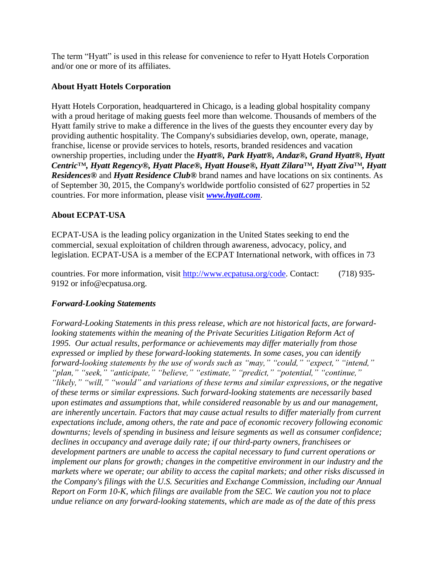The term "Hyatt" is used in this release for convenience to refer to Hyatt Hotels Corporation and/or one or more of its affiliates.

#### **About Hyatt Hotels Corporation**

Hyatt Hotels Corporation, headquartered in Chicago, is a leading global hospitality company with a proud heritage of making guests feel more than welcome. Thousands of members of the Hyatt family strive to make a difference in the lives of the guests they encounter every day by providing authentic hospitality. The Company's subsidiaries develop, own, operate, manage, franchise, license or provide services to hotels, resorts, branded residences and vacation ownership properties, including under the *Hyatt®, Park Hyatt®, Andaz®, Grand Hyatt®, Hyatt Centric*™*, Hyatt Regency®, Hyatt Place®, Hyatt House®, Hyatt Zilara*™*, Hyatt Ziva*™*, Hyatt Residences®* and *Hyatt Residence Club®* brand names and have locations on six continents. As of September 30, 2015, the Company's worldwide portfolio consisted of 627 properties in 52 countries. For more information, please visit *[www.hyatt.com](http://www.hyatt.com/)*.

### **About ECPAT-USA**

ECPAT-USA is the leading policy organization in the United States seeking to end the commercial, sexual exploitation of children through awareness, advocacy, policy, and legislation. ECPAT-USA is a member of the ECPAT International network, with offices in 73

countries. For more information, visit [http://www.ecpatusa.org/code.](http://www.ecpatusa.org/code) Contact: (718) 935- 9192 or info@ecpatusa.org.

#### *Forward-Looking Statements*

*Forward-Looking Statements in this press release, which are not historical facts, are forwardlooking statements within the meaning of the Private Securities Litigation Reform Act of 1995. Our actual results, performance or achievements may differ materially from those expressed or implied by these forward-looking statements. In some cases, you can identify forward-looking statements by the use of words such as "may," "could," "expect," "intend," "plan," "seek," "anticipate," "believe," "estimate," "predict," "potential," "continue," "likely," "will," "would" and variations of these terms and similar expressions, or the negative of these terms or similar expressions. Such forward-looking statements are necessarily based upon estimates and assumptions that, while considered reasonable by us and our management, are inherently uncertain. Factors that may cause actual results to differ materially from current expectations include, among others, the rate and pace of economic recovery following economic downturns; levels of spending in business and leisure segments as well as consumer confidence; declines in occupancy and average daily rate; if our third-party owners, franchisees or development partners are unable to access the capital necessary to fund current operations or implement our plans for growth; changes in the competitive environment in our industry and the markets where we operate; our ability to access the capital markets; and other risks discussed in the Company's filings with the U.S. Securities and Exchange Commission, including our Annual Report on Form 10-K, which filings are available from the SEC. We caution you not to place undue reliance on any forward-looking statements, which are made as of the date of this press*